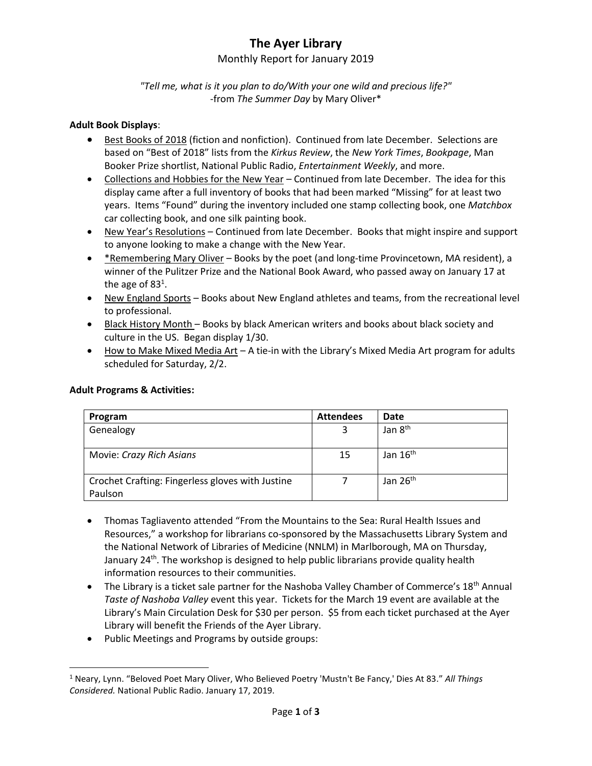# **The Ayer Library**

## Monthly Report for January 2019

## *"Tell me, what is it you plan to do/With your one wild and precious life?"* -from *The Summer Day* by Mary Oliver\*

#### **Adult Book Displays**:

- Best Books of 2018 (fiction and nonfiction). Continued from late December. Selections are based on "Best of 2018" lists from the *Kirkus Review*, the *New York Times*, *Bookpage*, Man Booker Prize shortlist, National Public Radio, *Entertainment Weekly*, and more.
- Collections and Hobbies for the New Year Continued from late December. The idea for this display came after a full inventory of books that had been marked "Missing" for at least two years. Items "Found" during the inventory included one stamp collecting book, one *Matchbox* car collecting book, and one silk painting book.
- New Year's Resolutions Continued from late December. Books that might inspire and support to anyone looking to make a change with the New Year.
- \*Remembering Mary Oliver Books by the poet (and long-time Provincetown, MA resident), a winner of the Pulitzer Prize and the National Book Award, who passed away on January 17 at the age of 83<sup>1</sup>.
- New England Sports Books about New England athletes and teams, from the recreational level to professional.
- **Black History Month Books by black American writers and books about black society and** culture in the US. Began display 1/30.
- How to Make Mixed Media Art A tie-in with the Library's Mixed Media Art program for adults scheduled for Saturday, 2/2.

| Program                                          | <b>Attendees</b> | Date                 |
|--------------------------------------------------|------------------|----------------------|
| Genealogy                                        | 3                | Jan 8 <sup>th</sup>  |
|                                                  |                  |                      |
| Movie: Crazy Rich Asians                         | 15               | Jan $16th$           |
|                                                  |                  |                      |
| Crochet Crafting: Fingerless gloves with Justine |                  | Jan 26 <sup>th</sup> |
| Paulson                                          |                  |                      |

#### **Adult Programs & Activities:**

l

- Thomas Tagliavento attended "From the Mountains to the Sea: Rural Health Issues and Resources," a workshop for librarians co-sponsored by the Massachusetts Library System and the National Network of Libraries of Medicine (NNLM) in Marlborough, MA on Thursday, January 24<sup>th</sup>. The workshop is designed to help public librarians provide quality health information resources to their communities.
- $\bullet$  The Library is a ticket sale partner for the Nashoba Valley Chamber of Commerce's 18<sup>th</sup> Annual *Taste of Nashoba Valley* event this year. Tickets for the March 19 event are available at the Library's Main Circulation Desk for \$30 per person. \$5 from each ticket purchased at the Ayer Library will benefit the Friends of the Ayer Library.
- Public Meetings and Programs by outside groups:

<sup>1</sup> Neary, Lynn. "Beloved Poet Mary Oliver, Who Believed Poetry 'Mustn't Be Fancy,' Dies At 83." *All Things Considered.* National Public Radio. January 17, 2019.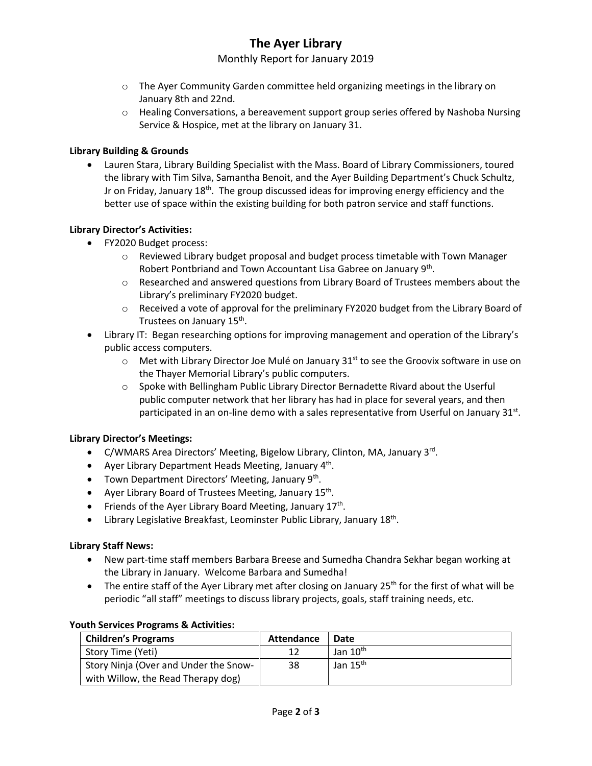# **The Ayer Library**

## Monthly Report for January 2019

- $\circ$  The Ayer Community Garden committee held organizing meetings in the library on January 8th and 22nd.
- o Healing Conversations, a bereavement support group series offered by Nashoba Nursing Service & Hospice, met at the library on January 31.

#### **Library Building & Grounds**

 Lauren Stara, Library Building Specialist with the Mass. Board of Library Commissioners, toured the library with Tim Silva, Samantha Benoit, and the Ayer Building Department's Chuck Schultz, Jr on Friday, January 18<sup>th</sup>. The group discussed ideas for improving energy efficiency and the better use of space within the existing building for both patron service and staff functions.

### **Library Director's Activities:**

- FY2020 Budget process:
	- $\circ$  Reviewed Library budget proposal and budget process timetable with Town Manager Robert Pontbriand and Town Accountant Lisa Gabree on January 9<sup>th</sup>.
	- o Researched and answered questions from Library Board of Trustees members about the Library's preliminary FY2020 budget.
	- o Received a vote of approval for the preliminary FY2020 budget from the Library Board of Trustees on January 15<sup>th</sup>.
- Library IT: Began researching options for improving management and operation of the Library's public access computers.
	- $\circ$  Met with Library Director Joe Mulé on January 31<sup>st</sup> to see the Groovix software in use on the Thayer Memorial Library's public computers.
	- o Spoke with Bellingham Public Library Director Bernadette Rivard about the Userful public computer network that her library has had in place for several years, and then participated in an on-line demo with a sales representative from Userful on January 31st.

#### **Library Director's Meetings:**

- C/WMARS Area Directors' Meeting, Bigelow Library, Clinton, MA, January 3<sup>rd</sup>.
- Ayer Library Department Heads Meeting, January 4<sup>th</sup>.
- Town Department Directors' Meeting, January 9<sup>th</sup>.
- Ayer Library Board of Trustees Meeting, January 15<sup>th</sup>.
- Friends of the Ayer Library Board Meeting, January  $17<sup>th</sup>$ .
- Library Legislative Breakfast, Leominster Public Library, January 18<sup>th</sup>.

#### **Library Staff News:**

- New part-time staff members Barbara Breese and Sumedha Chandra Sekhar began working at the Library in January. Welcome Barbara and Sumedha!
- The entire staff of the Ayer Library met after closing on January 25<sup>th</sup> for the first of what will be periodic "all staff" meetings to discuss library projects, goals, staff training needs, etc.

| <b>Children's Programs</b>            | Attendance | Date                 |
|---------------------------------------|------------|----------------------|
| Story Time (Yeti)                     |            | Jan $10^{\text{th}}$ |
| Story Ninja (Over and Under the Snow- | 38         | Jan 15 <sup>th</sup> |
| with Willow, the Read Therapy dog)    |            |                      |

#### **Youth Services Programs & Activities:**